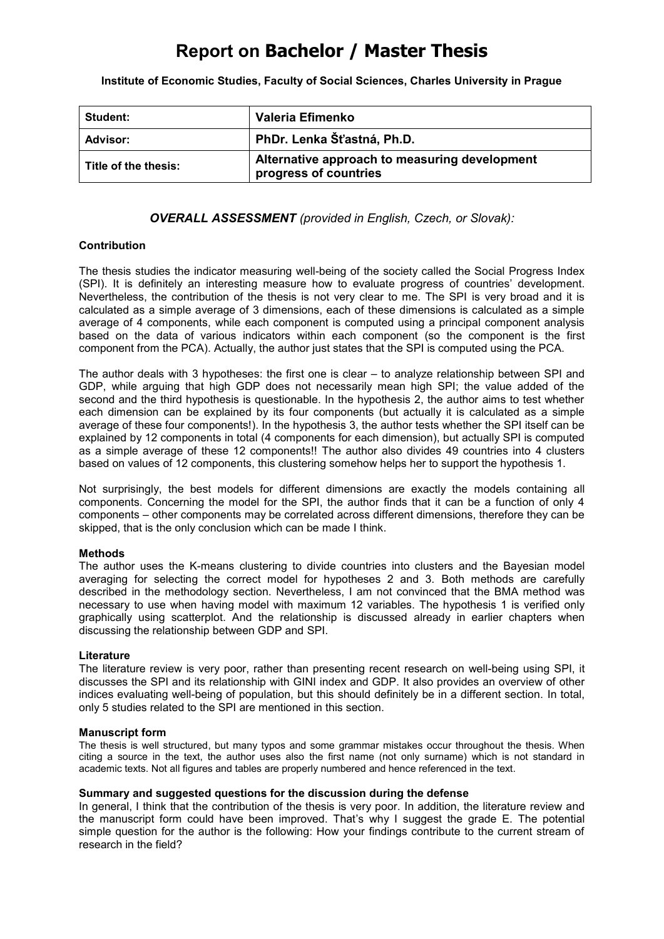## **Report on Bachelor / Master Thesis**

**Institute of Economic Studies, Faculty of Social Sciences, Charles University in Prague**

| <b>Student:</b>      | Valeria Efimenko                                                       |
|----------------------|------------------------------------------------------------------------|
| Advisor:             | PhDr. Lenka Šťastná, Ph.D.                                             |
| Title of the thesis: | Alternative approach to measuring development<br>progress of countries |

*OVERALL ASSESSMENT (provided in English, Czech, or Slovak):*

#### **Contribution**

The thesis studies the indicator measuring well-being of the society called the Social Progress Index (SPI). It is definitely an interesting measure how to evaluate progress of countries' development. Nevertheless, the contribution of the thesis is not very clear to me. The SPI is very broad and it is calculated as a simple average of 3 dimensions, each of these dimensions is calculated as a simple average of 4 components, while each component is computed using a principal component analysis based on the data of various indicators within each component (so the component is the first component from the PCA). Actually, the author just states that the SPI is computed using the PCA.

The author deals with 3 hypotheses: the first one is clear – to analyze relationship between SPI and GDP, while arguing that high GDP does not necessarily mean high SPI; the value added of the second and the third hypothesis is questionable. In the hypothesis 2, the author aims to test whether each dimension can be explained by its four components (but actually it is calculated as a simple average of these four components!). In the hypothesis 3, the author tests whether the SPI itself can be explained by 12 components in total (4 components for each dimension), but actually SPI is computed as a simple average of these 12 components!! The author also divides 49 countries into 4 clusters based on values of 12 components, this clustering somehow helps her to support the hypothesis 1.

Not surprisingly, the best models for different dimensions are exactly the models containing all components. Concerning the model for the SPI, the author finds that it can be a function of only 4 components – other components may be correlated across different dimensions, therefore they can be skipped, that is the only conclusion which can be made I think.

#### **Methods**

The author uses the K-means clustering to divide countries into clusters and the Bayesian model averaging for selecting the correct model for hypotheses 2 and 3. Both methods are carefully described in the methodology section. Nevertheless, I am not convinced that the BMA method was necessary to use when having model with maximum 12 variables. The hypothesis 1 is verified only graphically using scatterplot. And the relationship is discussed already in earlier chapters when discussing the relationship between GDP and SPI.

#### **Literature**

The literature review is very poor, rather than presenting recent research on well-being using SPI, it discusses the SPI and its relationship with GINI index and GDP. It also provides an overview of other indices evaluating well-being of population, but this should definitely be in a different section. In total, only 5 studies related to the SPI are mentioned in this section.

#### **Manuscript form**

The thesis is well structured, but many typos and some grammar mistakes occur throughout the thesis. When citing a source in the text, the author uses also the first name (not only surname) which is not standard in academic texts. Not all figures and tables are properly numbered and hence referenced in the text.

### **Summary and suggested questions for the discussion during the defense**

In general, I think that the contribution of the thesis is very poor. In addition, the literature review and the manuscript form could have been improved. That's why I suggest the grade E. The potential simple question for the author is the following: How your findings contribute to the current stream of research in the field?